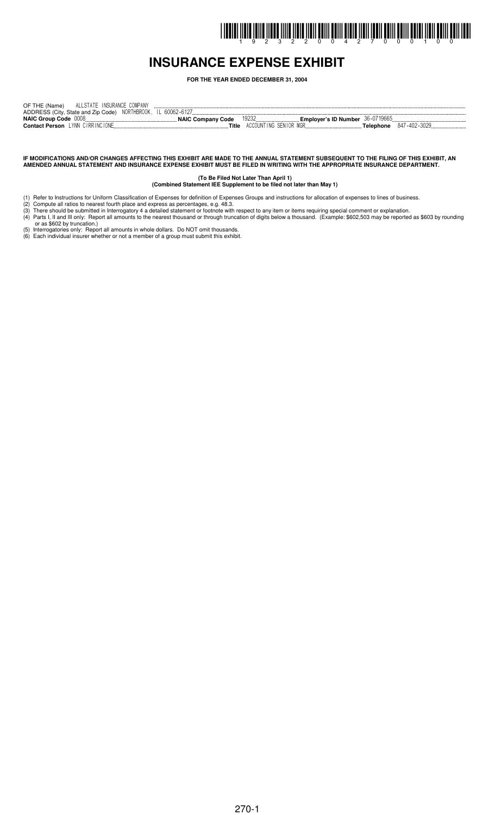# I INDIRI İLDIR İZILDÜ İLDIR İLILDÜ DILI ÖRILI ÖLILI ÖLDIR İLDIR İLDIL ÖLDIL ÖLILI ÖLILI ÖLILI ÖLILI ÖLILI IDDI

## **INSURANCE EXPENSE EXHIBIT**

**FOR THE YEAR ENDED DECEMBER 31, 2004**

| ALLSTATE INSURANCE COMPANY<br>OF THE (Name)                  |                                |                                            |              |
|--------------------------------------------------------------|--------------------------------|--------------------------------------------|--------------|
| ADDRESS (City, State and Zip Code) NORTHBROOK, IL 60062-6127 |                                |                                            |              |
| <b>NAIC Group Code 0008</b>                                  | NAIC Company Code              | <b>Employer's ID Number</b> $36 - 0719665$ |              |
| <b>Contact Person</b> LYNN CIRRINCIONE                       | ACCOUNTING SENIOR MGR<br>Title | Telephone                                  | 847-402-3029 |

#### IF MODIFICATIONS AND/OR CHANGES AFFECTING THIS EXHIBIT ARE MADE TO THE ANNUAL STATEMENT SUBSEQUENT TO THE FILING OF THIS EXHIBIT, AN AMENDED ANNUAL STATEMENT AND INSURANCE EXPENSE EXHIBIT MUST BE FILED IN WRITING WITH THE APPROPRIATE INSURANCE DEPARTMENT.

**(To Be Filed Not Later Than April 1) (Combined Statement IEE Supplement to be filed not later than May 1)**

- (1) Refer to Instructions for Uniform Classification of Expenses for definition of Expenses Groups and instructions for allocation of expenses to lines of business.
- (2) Compute all ratios to nearest fourth place and express as percentages, e.g. 48.3. (3) There should be submitted in Interrogatory 4 a detailed statement or footnote with respect to any item or items requiring special comment or explanation.
- (4) Parts I, II and III only: Report all amounts to the nearest thousand or through truncation of digits below a thousand. (Example: \$602,503 may be reported as \$603 by rounding or as \$602 by truncation.)
- (5) Interrogatories only: Report all amounts in whole dollars. Do NOT omit thousands.
- (6) Each individual insurer whether or not a member of a group must submit this exhibit.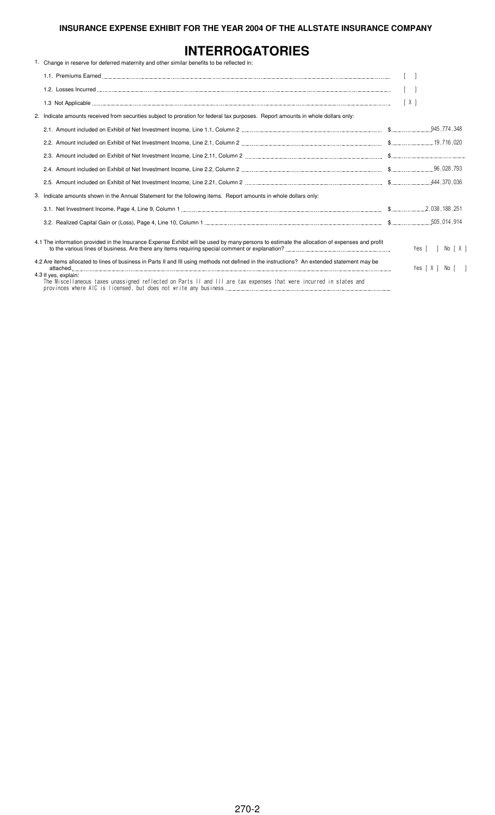# **INTERROGATORIES**

| 1. Change in reserve for deferred maternity and other similar benefits to be reflected in:                                                   |                   |
|----------------------------------------------------------------------------------------------------------------------------------------------|-------------------|
|                                                                                                                                              |                   |
|                                                                                                                                              |                   |
|                                                                                                                                              | [X]               |
| 2. Indicate amounts received from securities subject to proration for federal tax purposes. Report amounts in whole dollars only:            |                   |
|                                                                                                                                              |                   |
|                                                                                                                                              |                   |
|                                                                                                                                              |                   |
|                                                                                                                                              |                   |
|                                                                                                                                              |                   |
| 3. Indicate amounts shown in the Annual Statement for the following items. Report amounts in whole dollars only:                             |                   |
|                                                                                                                                              |                   |
|                                                                                                                                              |                   |
| 4.1 The information provided in the Insurance Expense Exhibit will be used by many persons to estimate the allocation of expenses and profit | No [X]<br>Yes [ ] |
| 4.2 Are items allocated to lines of business in Parts II and III using methods not defined in the instructions? An extended statement may be | Yes [X ] No [ ]   |
| 4.3 If yes, explain:<br>The Miscellaneous taxes unassigned reflected on Parts II and III are tax expenses that were incurred in states and   |                   |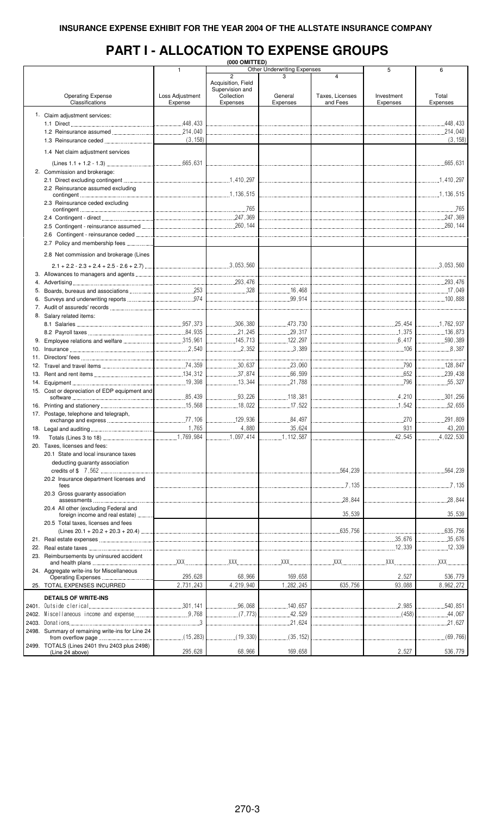# **PART I - ALLOCATION TO EXPENSE GROUPS**

|     | (000 OMITTED)                                    |                 |                    |                                    |                 |            |               |  |  |  |  |  |  |
|-----|--------------------------------------------------|-----------------|--------------------|------------------------------------|-----------------|------------|---------------|--|--|--|--|--|--|
|     |                                                  | $\mathbf{1}$    |                    | <b>Other Underwriting Expenses</b> |                 | 5          | 6             |  |  |  |  |  |  |
|     |                                                  |                 | $\overline{c}$     | 3                                  | 4               |            |               |  |  |  |  |  |  |
|     |                                                  |                 | Acquisition, Field |                                    |                 |            |               |  |  |  |  |  |  |
|     |                                                  |                 | Supervision and    |                                    |                 |            |               |  |  |  |  |  |  |
|     | <b>Operating Expense</b>                         | Loss Adjustment | Collection         | General                            | Taxes, Licenses | Investment | Total         |  |  |  |  |  |  |
|     | Classifications                                  | Expense         | Expenses           | Expenses                           | and Fees        | Expenses   | Expenses      |  |  |  |  |  |  |
|     |                                                  |                 |                    |                                    |                 |            |               |  |  |  |  |  |  |
|     | 1. Claim adjustment services:                    |                 |                    |                                    |                 |            |               |  |  |  |  |  |  |
|     |                                                  |                 |                    |                                    |                 |            | 448,433       |  |  |  |  |  |  |
|     |                                                  |                 |                    |                                    |                 |            |               |  |  |  |  |  |  |
|     |                                                  |                 |                    |                                    |                 |            |               |  |  |  |  |  |  |
|     |                                                  | (3, 158)        |                    |                                    |                 |            | (3, 158)      |  |  |  |  |  |  |
|     |                                                  |                 |                    |                                    |                 |            |               |  |  |  |  |  |  |
|     | 1.4 Net claim adjustment services                |                 |                    |                                    |                 |            |               |  |  |  |  |  |  |
|     |                                                  |                 |                    |                                    |                 |            |               |  |  |  |  |  |  |
|     | 2. Commission and brokerage:                     |                 |                    |                                    |                 |            |               |  |  |  |  |  |  |
|     |                                                  |                 |                    |                                    |                 |            |               |  |  |  |  |  |  |
|     |                                                  |                 |                    |                                    |                 |            |               |  |  |  |  |  |  |
|     | 2.2 Reinsurance assumed excluding                |                 |                    |                                    |                 |            |               |  |  |  |  |  |  |
|     |                                                  |                 |                    |                                    |                 |            |               |  |  |  |  |  |  |
|     | 2.3 Reinsurance ceded excluding                  |                 |                    |                                    |                 |            |               |  |  |  |  |  |  |
|     |                                                  |                 |                    |                                    |                 |            |               |  |  |  |  |  |  |
|     |                                                  |                 |                    |                                    |                 |            |               |  |  |  |  |  |  |
|     |                                                  |                 |                    |                                    |                 |            |               |  |  |  |  |  |  |
|     |                                                  |                 |                    |                                    |                 |            |               |  |  |  |  |  |  |
|     |                                                  |                 |                    |                                    |                 |            |               |  |  |  |  |  |  |
|     | 2.7 Policy and membership fees                   |                 |                    |                                    |                 |            |               |  |  |  |  |  |  |
|     |                                                  |                 |                    |                                    |                 |            |               |  |  |  |  |  |  |
|     | 2.8 Net commission and brokerage (Lines          |                 |                    |                                    |                 |            |               |  |  |  |  |  |  |
|     |                                                  |                 |                    |                                    |                 |            |               |  |  |  |  |  |  |
|     |                                                  |                 |                    |                                    |                 |            |               |  |  |  |  |  |  |
|     |                                                  |                 |                    |                                    |                 |            |               |  |  |  |  |  |  |
|     |                                                  |                 |                    |                                    |                 |            |               |  |  |  |  |  |  |
|     |                                                  |                 |                    |                                    |                 |            |               |  |  |  |  |  |  |
|     |                                                  |                 |                    |                                    |                 |            |               |  |  |  |  |  |  |
|     |                                                  |                 |                    |                                    |                 |            |               |  |  |  |  |  |  |
|     |                                                  |                 |                    |                                    |                 |            |               |  |  |  |  |  |  |
|     | 8. Salary related items:                         |                 |                    |                                    |                 |            |               |  |  |  |  |  |  |
|     |                                                  |                 |                    |                                    |                 |            |               |  |  |  |  |  |  |
|     |                                                  |                 |                    |                                    |                 |            |               |  |  |  |  |  |  |
|     |                                                  |                 |                    |                                    |                 |            |               |  |  |  |  |  |  |
|     |                                                  |                 |                    |                                    |                 |            |               |  |  |  |  |  |  |
|     |                                                  |                 |                    | $\ldots$ 3,389                     |                 |            | 8,387         |  |  |  |  |  |  |
|     |                                                  |                 |                    |                                    |                 |            |               |  |  |  |  |  |  |
|     |                                                  |                 |                    |                                    |                 |            |               |  |  |  |  |  |  |
|     |                                                  |                 |                    | 23,060                             |                 |            | 128,847       |  |  |  |  |  |  |
|     |                                                  |                 |                    |                                    | 652             |            |               |  |  |  |  |  |  |
|     |                                                  |                 |                    |                                    |                 |            | 55,327        |  |  |  |  |  |  |
|     |                                                  |                 |                    |                                    |                 |            |               |  |  |  |  |  |  |
|     | 15. Cost or depreciation of EDP equipment and    |                 |                    |                                    |                 |            |               |  |  |  |  |  |  |
|     |                                                  |                 |                    | 118,381                            |                 |            | 301,256       |  |  |  |  |  |  |
|     |                                                  |                 |                    |                                    |                 |            |               |  |  |  |  |  |  |
|     | 17. Postage, telephone and telegraph,            |                 |                    |                                    |                 |            |               |  |  |  |  |  |  |
|     |                                                  |                 |                    | 84,497                             |                 | .270       | .291,809<br>. |  |  |  |  |  |  |
|     |                                                  | 1,765           | 4,880              | 35,624                             |                 | 931        | 43,200        |  |  |  |  |  |  |
|     |                                                  |                 |                    |                                    |                 |            |               |  |  |  |  |  |  |
| 19. |                                                  |                 | 1,097,414          | .1, 112, 587                       |                 | .42,545    | .4,022,530    |  |  |  |  |  |  |
|     | 20. Taxes, licenses and fees:                    |                 |                    |                                    |                 |            |               |  |  |  |  |  |  |
|     | 20.1 State and local insurance taxes             |                 |                    |                                    |                 |            |               |  |  |  |  |  |  |
|     | deducting guaranty association                   |                 |                    |                                    |                 |            |               |  |  |  |  |  |  |
|     |                                                  |                 |                    |                                    |                 |            |               |  |  |  |  |  |  |
|     |                                                  |                 |                    |                                    | .564,239        |            | .564,239      |  |  |  |  |  |  |
|     | 20.2 Insurance department licenses and           |                 |                    |                                    |                 |            |               |  |  |  |  |  |  |
|     | fees                                             |                 |                    |                                    | 7.135           |            | 7.135         |  |  |  |  |  |  |
|     | 20.3 Gross guaranty association                  |                 |                    |                                    |                 |            |               |  |  |  |  |  |  |
|     |                                                  |                 |                    |                                    | .28,844         |            | .28,844       |  |  |  |  |  |  |
|     | 20.4 All other (excluding Federal and            |                 |                    |                                    |                 |            |               |  |  |  |  |  |  |
|     | foreign income and real estate)                  |                 |                    |                                    | 35,539          |            | 35,539        |  |  |  |  |  |  |
|     |                                                  |                 |                    |                                    |                 |            |               |  |  |  |  |  |  |
|     | 20.5 Total taxes, licenses and fees              |                 |                    |                                    |                 |            |               |  |  |  |  |  |  |
|     |                                                  |                 |                    |                                    | 635.756         |            | .635,756      |  |  |  |  |  |  |
|     |                                                  |                 |                    |                                    |                 | 35,676     | 35,676        |  |  |  |  |  |  |
|     |                                                  |                 |                    |                                    |                 |            | 12,339        |  |  |  |  |  |  |
|     | 23. Reimbursements by uninsured accident         |                 |                    |                                    |                 |            |               |  |  |  |  |  |  |
|     |                                                  |                 | XX                 | XX                                 | XX              | XXX.       | XXX.          |  |  |  |  |  |  |
|     |                                                  |                 |                    |                                    |                 |            |               |  |  |  |  |  |  |
|     | 24. Aggregate write-ins for Miscellaneous        | 295,628         | 68,966             | 169,658                            |                 | 2,527      | 536,779       |  |  |  |  |  |  |
|     |                                                  |                 |                    |                                    |                 |            |               |  |  |  |  |  |  |
|     | 25. TOTAL EXPENSES INCURRED                      | 2,731,243       | 4,219,940          | 1,282,245                          | 635,756         | 93,088     | 8,962,272     |  |  |  |  |  |  |
|     |                                                  |                 |                    |                                    |                 |            |               |  |  |  |  |  |  |
|     | <b>DETAILS OF WRITE-INS</b>                      |                 |                    |                                    |                 |            |               |  |  |  |  |  |  |
|     |                                                  |                 | .96,068            | .140,657                           |                 | 2.985      | .540,851      |  |  |  |  |  |  |
|     |                                                  |                 | (7, 773)           | .42,529                            |                 |            | .44,067       |  |  |  |  |  |  |
|     |                                                  | $1$ 3           |                    | .21,624                            |                 |            | .21,627       |  |  |  |  |  |  |
|     |                                                  |                 |                    |                                    |                 |            |               |  |  |  |  |  |  |
|     | 2498. Summary of remaining write-ins for Line 24 | (15, 283)       |                    | (35, 152)                          |                 |            |               |  |  |  |  |  |  |
|     |                                                  |                 | (19, 330)          |                                    |                 |            | (69, 766)     |  |  |  |  |  |  |
|     | 2499. TOTALS (Lines 2401 thru 2403 plus 2498)    |                 |                    |                                    |                 |            |               |  |  |  |  |  |  |
|     | (Line 24 above)                                  | 295,628         | 68,966             | 169,658                            |                 | 2,527      | 536,779       |  |  |  |  |  |  |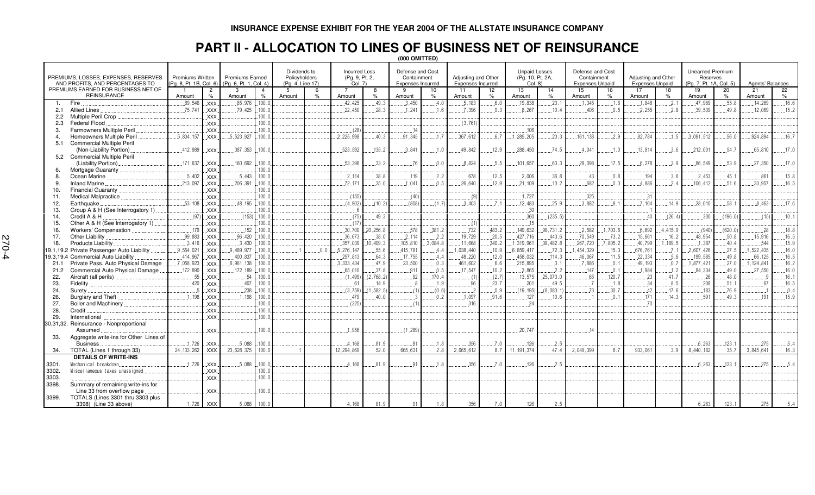### **PART II - ALLOCATION TO LINES OF BUSINESS NET OF REINSURANCE**

|                | (000 OMITTED)                                                           |                                             |                |                                                  |                         |                                                   |     |                                                   |              |                                                             |                |                                          |                |                                                     |              |                                                           |          |                                               |              |                                                                |                |                   |               |
|----------------|-------------------------------------------------------------------------|---------------------------------------------|----------------|--------------------------------------------------|-------------------------|---------------------------------------------------|-----|---------------------------------------------------|--------------|-------------------------------------------------------------|----------------|------------------------------------------|----------------|-----------------------------------------------------|--------------|-----------------------------------------------------------|----------|-----------------------------------------------|--------------|----------------------------------------------------------------|----------------|-------------------|---------------|
|                | PREMIUMS, LOSSES, EXPENSES, RESERVES<br>AND PROFITS, AND PERCENTAGES TO | Premiums Written<br>(Pg. 8, Pt. 1B, Col. 6) |                | <b>Premiums Earned</b><br>(Pg. 6, Pt. 1, Col. 4) |                         | Dividends to<br>Policyholders<br>(Pg. 4, Line 17) |     | <b>Incurred Loss</b><br>(Pg. 9, Pt. 2,<br>Col. 7) |              | Defense and Cost<br>Containment<br><b>Expenses Incurred</b> |                | Adjusting and Other<br>Expenses Incurred |                | <b>Unpaid Losses</b><br>(Pg. 10, Pt. 2A,<br>Col. 8) |              | Defense and Cost<br>Containment<br><b>Expenses Unpaid</b> |          | Adjusting and Other<br><b>Expenses Unpaid</b> |              | <b>Unearned Premium</b><br>Reserves<br>(Pg. 7, Pt. 1A, Col. 5) |                | Agents' Balances  |               |
|                | PREMIUMS EARNED FOR BUSINESS NET OF                                     | -1                                          | $\overline{2}$ | $\mathcal{B}$                                    |                         | -5                                                | 6   | $\overline{7}$                                    | 8            | q                                                           | 10             | 11                                       | 12             | 13                                                  | 14           | 15                                                        | 16       | 17                                            | 18           | 19                                                             | 20             | 21                | 22            |
|                | <b>REINSURANCE</b><br>Fire                                              | Amount<br>.89.546                           | $\frac{1}{2}$  | Amount                                           | $\frac{9}{6}$<br>.100.0 | Amount                                            |     | Amount<br>42.425                                  | $\%$<br>49.3 | Amount<br>3.450                                             | 4.0            | Amount<br>.5.183                         | 6.0            | Amount<br>.19.838                                   | .23.         | Amount<br>1.345                                           | O/2      | Amount<br>.1.848                              | $\%$         | Amount<br>47.969                                               | .55.8          | Amount<br>.14.269 | $\%$<br>.16.6 |
| -1.<br>2.1     | <b>Allied Lines</b>                                                     | . .75.741                                   | XXX.<br>XXX.   | 85.976<br>.79,425                                | .100.0                  |                                                   |     | .22,450                                           | .28.3        | .1.241                                                      | 16             | 7.396                                    | .9.3           | .8.267                                              | .10.4        | .406                                                      | .0.5     | .2.255                                        | .2.1<br>.2.8 | .39,539                                                        | 49.8           | .12,069           | .15.2         |
| 2.2            | Multiple Peril Crop.                                                    |                                             | XXX.           |                                                  | .100.0                  |                                                   |     |                                                   |              |                                                             |                |                                          |                |                                                     |              |                                                           |          |                                               |              |                                                                |                |                   |               |
| 2.3            | Federal Flood                                                           |                                             | XXX.           |                                                  | 100.                    |                                                   |     |                                                   |              |                                                             |                | (3,761)                                  |                |                                                     |              |                                                           |          |                                               |              |                                                                |                |                   |               |
| 3.             | Farmowners Multiple Peril                                               |                                             | <b>XXX</b>     |                                                  | 100.1                   |                                                   |     | (28)                                              |              | 14                                                          |                |                                          |                | .106                                                |              |                                                           |          |                                               |              |                                                                |                |                   |               |
|                | Homeowners Multiple Peril                                               | .5.804.157                                  | <b>XXX</b>     | .5.523.927                                       | 100.1                   |                                                   |     | .2.225.998                                        | 40.3         | .91.345                                                     | 17             | .367.612                                 | 6.7            | 1.285.205                                           | 23.3         | 161.138                                                   | 2.9      | 82.784                                        | 1.5          | 3.091.512                                                      | .56.0          | .924.894          | .16.7         |
| 5.1            | <b>Commercial Multiple Peril</b>                                        |                                             |                |                                                  |                         |                                                   |     |                                                   |              |                                                             |                |                                          |                |                                                     |              |                                                           |          |                                               |              |                                                                |                |                   |               |
|                | (Non-Liability Portion).                                                | 412,989                                     | XXX.           | .387,353                                         | 100.0                   |                                                   |     | .523.592                                          | 135.2        | .3,841                                                      | 1.0            | .49,842                                  | .12.9          | .288,450                                            | 74.5         | 4,041                                                     | .1.0     | .13.814                                       | .3.6         | .212,001                                                       | .54.7          | .65,810           | .17.0         |
|                | <b>Commercial Multiple Peril</b>                                        |                                             |                |                                                  |                         |                                                   |     |                                                   |              |                                                             |                |                                          |                |                                                     |              |                                                           |          |                                               |              |                                                                |                |                   |               |
|                | (Liability Portion)                                                     | 171,637                                     | XXX.           | .160.692                                         | .100.0                  |                                                   |     | 53,396                                            | .33.2        | .76                                                         | 0.0            | .8.824                                   | .5.5           | .101.657                                            | .63.3        | 28,098                                                    | .17.5    | 6.278                                         | .3.9         | .86.549                                                        | .53.9          | 27,350            | .17.0         |
| 6.             | Mortgage Guaranty                                                       |                                             | XXX.           |                                                  | 100.1                   |                                                   |     |                                                   |              |                                                             |                |                                          |                |                                                     |              |                                                           |          |                                               |              |                                                                |                |                   |               |
| 8.             | Ocean Marine                                                            | .5.402                                      | XXX.           | 5.443                                            | 100.0                   |                                                   |     | .2.114                                            | .38.8        | .119                                                        | 2.2            | .678                                     | .12.5          | 2.006                                               | .36.8        | .43                                                       | 0.8      | 194                                           | .3.6         | .2.453                                                         | .45.1          | .861              | .15.8         |
| 9.             | <b>Inland Marine</b>                                                    | .213,097                                    | XXX.           | .206,391                                         | .100.0                  |                                                   |     | 72,171                                            | .35.0        | .1.041                                                      | .0.5           | .26.640                                  | .12.9          | 21,109                                              | .10.2        | .682                                                      | .0.3     | .4.886                                        | .2.4         | 106,412                                                        | .51.6          | .33,957           | .16.5         |
| 10.            | Financial Guaranty.                                                     |                                             | .XXX.          |                                                  | 100.1                   |                                                   |     |                                                   |              |                                                             |                |                                          |                |                                                     |              |                                                           |          |                                               |              |                                                                |                |                   |               |
| 11.            | Medical Malpractice                                                     | 53.108                                      | XXX.           |                                                  | 100.1                   |                                                   |     | (155)<br>(4.902)                                  |              | (40)<br>(808)                                               |                | (9)                                      | 7 <sub>1</sub> | 1,727                                               | 25.9         | .325<br>3.882                                             |          | .31                                           |              |                                                                | 58.1           |                   | 17.6          |
| 12.            | Earthquake                                                              |                                             | XXX.           | 48.195                                           | 100.1                   |                                                   |     |                                                   | (10.2)       |                                                             | (1.7)          | 3.403                                    |                | 12.483                                              |              |                                                           | 8.1      | 7.164                                         | 14.9         | 28.010                                                         |                | 8.463             |               |
| 13.            | Group A & H (See Interrogatory 1)                                       | (97)                                        | XXX.           |                                                  | 100.1<br>.100.          |                                                   |     | (75)                                              |              |                                                             |                |                                          |                | .30<br>.360                                         |              |                                                           |          | 40                                            |              | .300                                                           | (196.0)        |                   |               |
| 14.<br>15.     | Credit A & H<br>Other A & H (See Interrogatory 1).                      |                                             | XXX.<br>XXX.   | (153)                                            | 100.1                   |                                                   |     | (17)                                              | .49.3        |                                                             |                |                                          |                | .15                                                 | (235.5)      |                                                           |          |                                               | (26.4)       |                                                                |                | (15)              | .10.1         |
| 16.            | Workers' Compensation                                                   | .179                                        | <b>XXX</b>     | .152                                             | 100.1                   |                                                   |     | .30,700                                           | .20.256.8    | .578                                                        | .381.2         | (1)<br>732                               | .483.2         | .149.632                                            | .98,731.2    | .2.582                                                    | 1,703.6  | .6.692                                        | .4.415.9     | (940)                                                          | (620.0)        | .28               | .18.8         |
| 17.            | Other Liability                                                         | .99.883                                     | XXX            | .96,420                                          | 100.1                   |                                                   |     | .36.673                                           | .38.0        | .2.114                                                      | .2.2           | .19,729                                  | .20.5          | 427.716                                             | 443.6        | .70.549                                                   | .73.2    | .15.661                                       | .16.2        | .48,954                                                        | .50.8          | .15,916           | .16.5         |
| 18.            | <b>Products Liability</b>                                               | .3.416                                      | XXX.           | .3.430                                           | .100.0                  |                                                   |     | .357,039                                          | .10, 409.3   | 105,810                                                     | .3.084.8       | .11.668                                  | .340.2         | 1,319,961                                           | .38,482.8    | .267,720                                                  | .7,805.2 | .40.799                                       | 1,189.5      | .1.387                                                         | .40.4          | .544              | 15.9          |
|                | 19.1,19.2 Private Passenger Auto Liability                              | .9.554.021                                  | XXX.           | 9.489.977                                        | 100.1                   |                                                   | 0.0 | .5.276.147                                        | .55.6        | 415,781                                                     | 4.4            | .1.038.440                               | .10.9          | .6.859.417                                          | .72.3        | 1,454,329                                                 | .15.3    | .676.761                                      | .7.1         | .2,607,426                                                     | .27.5          | .1.522.435        | .16.0         |
| 19.3,19.4      | <b>Commercial Auto Liability</b>                                        | .414,967                                    | .XXX.          | .400.837                                         | .100.0                  |                                                   |     | .257,813                                          | .64.3        | .17.755                                                     | 4.4            | .48,220                                  | .12.0          | .458,032                                            | .114.3       | .46,067                                                   | .11.5    | .22,334                                       | .5.6         | .199,585                                                       | .49.8          | .66,125           | .16.5         |
| 21.1           | Private Pass. Auto Physical Damage                                      | .7,058,923                                  | XXX.           | .6,961,138                                       | .100.0                  |                                                   |     | .3.333.434                                        | .47.9        | .23,500                                                     | .0.3           | .461,602                                 | 6.6            | .215,895                                            | 3.1          | .7.886                                                    | .0.1     | .49,193                                       | .0.7         | 1,877,421                                                      | .27.0          | .1.124.841        | .16.2         |
| 21.2           | Commercial Auto Physical Damage                                         | .172,890                                    | XXX.           | .172,189                                         | 100.0                   |                                                   |     | .65.010                                           | .37.8        | .911                                                        | 0.5            | .17.547                                  | .10.2          | .3.865                                              | .2.2         | .147                                                      | .0.1     | 1,984                                         | .1.2         | .84,334                                                        | .49.0          | 27,550            | .16.0         |
| 22.            | Aircraft (all perils).                                                  | .55                                         | XXX.           | .54                                              | 100.1                   |                                                   |     | (1.499)                                           | (2,768.2)    | .92                                                         | 170.4          | . (1                                     | (2.7)          | .13,575                                             | 25.073.0     | .65                                                       | .120.7   | .23                                           | .41.7        | .26                                                            | 48.0           |                   | .16.1         |
| 23.            | Fidelity                                                                | 420                                         | XXX.           | 407                                              | 100.                    |                                                   |     | 6'                                                | 14.9         |                                                             | 1.9            | 96                                       | 23.7           | .201                                                | 49 5         | $\overline{7}$                                            | .1.8     | 34                                            | 8.5          | .208                                                           | 51.1           | 67                | .16.5         |
| 24.            | Surety                                                                  |                                             | XXX.           | .238                                             | 100.1                   |                                                   |     | (3,759)                                           | (1, 582.5)   | (1)                                                         | (0.6)          |                                          | 0.9            | (19, 195)                                           | (8.080.1)    | .73                                                       | .30.7    | .42                                           | .17.6        | 183                                                            | 76.9           |                   | 0.4           |
| 26.            | Burglary and Theft.                                                     | 1.198                                       | XXX.           | 1.198                                            | 100.1                   |                                                   |     | 479                                               | .40.0        |                                                             | 0 <sub>2</sub> | .1.097                                   | .91.6          | .127                                                | .10.6        |                                                           | 0.1      | .171                                          | 14.3         | 591                                                            | 49.3           | 191               | .15.9         |
| 27.            | Boiler and Machinery.                                                   |                                             | XXX.           |                                                  | 100.1                   |                                                   |     | (325)                                             |              | (1)                                                         |                | .316                                     |                | .24                                                 |              |                                                           |          | 70                                            |              |                                                                |                |                   |               |
| 28.            | Credit                                                                  |                                             | XXX.           |                                                  | 100.1                   |                                                   |     |                                                   |              |                                                             |                |                                          |                |                                                     |              |                                                           |          |                                               |              |                                                                |                |                   |               |
| 29.            | International                                                           |                                             | XXX.           |                                                  | 100.1                   |                                                   |     |                                                   |              |                                                             |                |                                          |                |                                                     |              |                                                           |          |                                               |              |                                                                |                |                   |               |
|                | 30,31,32. Reinsurance - Nonproportional                                 |                                             |                |                                                  |                         |                                                   |     |                                                   |              |                                                             |                |                                          |                |                                                     |              |                                                           |          |                                               |              |                                                                |                |                   |               |
|                | Assumed                                                                 |                                             | XXX.           |                                                  | 100.0                   |                                                   |     | .1.956                                            |              | (1, 289)                                                    |                |                                          |                | 20,747                                              |              | 14                                                        |          |                                               |              |                                                                |                |                   |               |
|                | Aggregate write-ins for Other Lines of                                  |                                             |                |                                                  |                         |                                                   |     |                                                   |              |                                                             |                |                                          |                |                                                     |              |                                                           |          |                                               |              |                                                                |                |                   |               |
|                | <b>Business</b>                                                         | .1.726                                      | <b>XXX</b>     | .5.088<br>23,628,375                             | .100.0<br>100.0         |                                                   |     | .4.168                                            | 81.9<br>52.0 | 91<br>665,631                                               | .1.8<br>2.8    | .356<br>2.065.612                        | .7.0           | .126<br>11.191.374                                  | .2.5<br>47.4 | 2,049,399                                                 |          |                                               | 3.9          | .6.263                                                         | .123.1<br>35.7 | .275<br>3.845.641 | .5.4          |
| 34.            | TOTAL (Lines 1 through 33)                                              | 24, 133, 262                                | <b>XXX</b>     |                                                  |                         |                                                   |     | 12,294,869                                        |              |                                                             |                |                                          | 8.7            |                                                     |              |                                                           | 8.7      | 933,061                                       |              | 8.440.182                                                      |                |                   | 16.3          |
|                | <b>DETAILS OF WRITE-INS</b><br>Mechanical breakdown.                    | .1.726                                      |                | 5.088                                            | .100.0                  |                                                   |     | 4.168                                             | .81.9        | .91                                                         | 1.8            | .356                                     | 7.0            | .126                                                | .2.5         |                                                           |          |                                               |              | 6.263                                                          | .123.1         | .275              | .5.4          |
| 3301.<br>3302. |                                                                         |                                             | XXX.           |                                                  | 100.1                   |                                                   |     |                                                   |              |                                                             |                |                                          |                |                                                     |              |                                                           |          |                                               |              |                                                                |                |                   |               |
| 3303.          | Miscellaneous taxes unassigned.                                         |                                             | .XXX.<br>XXX.  |                                                  | 100.1                   |                                                   |     |                                                   |              |                                                             |                |                                          |                |                                                     |              |                                                           |          |                                               |              |                                                                |                |                   |               |
| 3398.          | Summary of remaining write-ins for                                      |                                             |                |                                                  |                         |                                                   |     |                                                   |              |                                                             |                |                                          |                |                                                     |              |                                                           |          |                                               |              |                                                                |                |                   |               |
|                | Line 33 from overflow page                                              |                                             | XXX.           |                                                  | .100.0                  |                                                   |     |                                                   |              |                                                             |                |                                          |                |                                                     |              |                                                           |          |                                               |              |                                                                |                |                   |               |
| 3399.          | TOTALS (Lines 3301 thru 3303 plus                                       |                                             |                |                                                  |                         |                                                   |     |                                                   |              |                                                             |                |                                          |                |                                                     |              |                                                           |          |                                               |              |                                                                |                |                   |               |
|                | 3398) (Line 33 above)                                                   |                                             | 1,726 XXX      | 5,088                                            | 100.0                   |                                                   |     | 4.168                                             | 81.9         | 91                                                          | 1.8            | 356                                      | 7.0            | 126                                                 | 2.5          |                                                           |          |                                               |              | 6,263                                                          | 123.1          | 275               | 5.4           |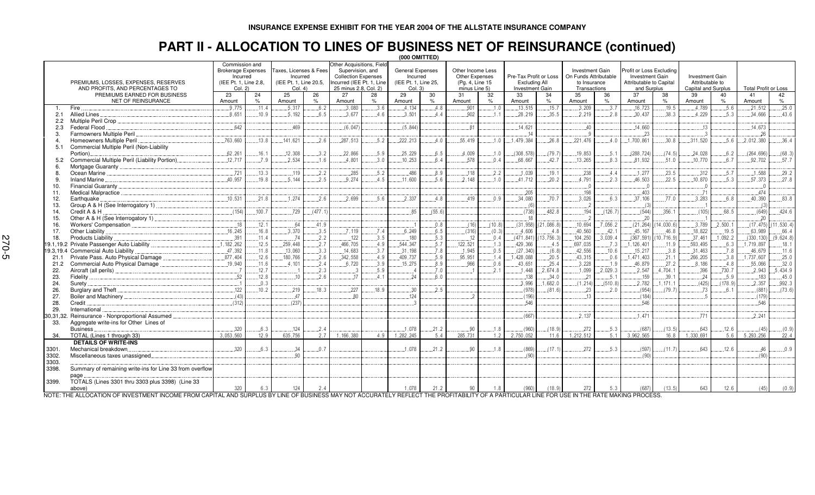# **PART II - ALLOCATION TO LINES OF BUSINESS NET OF REINSURANCE (continued) (000 OMITTED)**

|                                             |                                                          |                       |                        | (UUU UMII I EU)        |                                               |                            |                         |                      |                   |                  |               |                        |                        |                       |                          |                         |           |                        |          |                             |             |
|---------------------------------------------|----------------------------------------------------------|-----------------------|------------------------|------------------------|-----------------------------------------------|----------------------------|-------------------------|----------------------|-------------------|------------------|---------------|------------------------|------------------------|-----------------------|--------------------------|-------------------------|-----------|------------------------|----------|-----------------------------|-------------|
| Commission and<br><b>Brokerage Expenses</b> |                                                          |                       | Taxes, Licenses & Fees |                        | Other Acquisitions, Field<br>Supervision, and |                            | <b>General Expenses</b> |                      | Other Income Less |                  |               |                        | <b>Investment Gain</b> |                       | Profit or Loss Excluding |                         |           |                        |          |                             |             |
|                                             |                                                          | Incurred              |                        | Incurred               |                                               | <b>Collection Expenses</b> |                         | Incurred             |                   | Other Expenses   |               | Pre-Tax Profit or Loss |                        | On Funds Attributable |                          | Investment Gain         |           | <b>Investment Gain</b> |          |                             |             |
|                                             | PREMIUMS, LOSSES, EXPENSES, RESERVES                     | (IEE Pt. 1. Line 2.8. |                        | (IEE Pt. 1. Line 20.5. |                                               | Incurred (IEE Pt. 1. Line  |                         | (IEE Pt. 1, Line 25, |                   | (Pg. 4, Line 15) |               | Excluding All          |                        | to Insurance          |                          | Attributable to Capital |           | Attributable to        |          |                             |             |
|                                             | AND PROFITS, AND PERCENTAGES TO                          | Col. 2)               |                        | Col. 4                 |                                               | 25 minus 2.8, Col. 2)      |                         | Col. 3)              |                   | minus Line 5)    |               | Investment Gain        |                        | Transactions          |                          | and Surplus             |           | Capital and Surplus    |          | <b>Total Profit or Loss</b> |             |
|                                             | PREMIUMS EARNED FOR BUSINESS                             | 23                    | 24                     | 25                     | 26                                            | 27                         | 28                      | 29                   | 30                | 31               | 32            | 33                     | 34                     | 35                    | 36                       | 37                      | 38        | 39                     | 40       | 41                          | 42          |
|                                             | NET OF REINSURANCE                                       | Amount                | $\%$                   | Amount                 | $\%$                                          | Amount                     | $\%$                    | Amount               | $\%$              | Amount           | $\frac{9}{6}$ | Amount                 | $\%$                   | Amount                | $\%$                     | Amount                  | $\%$      | Amount                 | $\%$     | Amount                      | $\%$        |
|                                             | Fire                                                     | 9.775                 | 11.4                   | 5.317                  | 6.2                                           | .3.080                     | 3.6                     | .4.134               | 4.8               | .901             | 1.0           | .13.515                | .15.7                  | .3.209                | 3.7                      | .16.723                 | .19.5     | .4.789                 | .5.6     | .21.512                     | .25.0       |
| 2.1                                         | Allied Lines                                             | 8.651                 | .10.9                  | 5.192                  | 6.5                                           | .3.677                     | 4.6                     | .3.501               | 4.4               | .902             | .1.1          | 28,219                 | 35.5                   | .2.219                | 2.8                      | .30.437                 | 38.3      | .4.229                 | .5.3     | 34.666                      | .43.6       |
| $2.2^{\circ}$                               | Multiple Peril Crop                                      |                       |                        |                        |                                               |                            |                         |                      |                   |                  |               |                        |                        |                       |                          |                         |           |                        |          |                             |             |
| 2.3                                         | Federal Flood                                            | .642                  |                        | 469                    |                                               | (6.047)                    |                         | (5,844)              |                   | .81              |               | .14.621                |                        | .40                   |                          | .14.660                 |           | .13                    |          | .14.673                     |             |
| -3.                                         | Farmowners Multiple Peril.                               |                       |                        |                        |                                               |                            |                         |                      |                   |                  |               | .14                    |                        |                       |                          | 23                      |           |                        |          | .26                         |             |
|                                             | Homeowners Multiple Peril                                | .763.660              | .13.8                  | 141.621                | 2.6                                           | .287,513                   | .5.2                    | 222,213              | .4.0              | .55.419          | .1.0          | 1,479,384              | .26.8                  | 221.476               | 4.0                      | 1,700,861               | .30.8     | .311,520               | .5.6     | .2.012.380                  | .36.4       |
| 5.1                                         | Commercial Multiple Peril (Non-Liability                 |                       |                        |                        |                                               |                            |                         |                      |                   |                  |               |                        |                        |                       |                          |                         |           |                        |          |                             |             |
|                                             | Portion)                                                 | .62, 261              | .16.1                  | .12,308                | 3.2                                           | .22.866                    | .5.9                    | .25,229              | 6.5               | .4,009           | .1.0          | (308.578)              | (79.7)                 | .19,853               | .5.1                     | (288, 724)              | (74.5)    | .24,028                | .6.2     | (264, 696)                  | (68.3)      |
|                                             | Commercial Multiple Peril (Liability Portion)            | .12.717               | .7.9                   | .2.534                 | 1.6                                           | .4.801                     | .3.0                    | .10, 253             | 6.4               | .578             | .0.4          | .68.667                | 42.7                   | .13.265               | 8.3                      | .81,932                 | .51.0     | .10,770                | .6.7     | .92,702                     | .57.7       |
| 6                                           |                                                          |                       |                        |                        |                                               |                            |                         |                      |                   |                  |               |                        |                        |                       |                          |                         |           |                        |          |                             |             |
| 8                                           |                                                          | .721                  | .13.3                  | .119                   | 2.2                                           | 285                        | .5.2                    | .486                 | 8.9               | .118             | 2.2           | .1.039                 | 19.1                   | 238                   | 4.4                      | .1.277                  | .23.5     | .312                   | .5.7     | 1.588                       | .29.2       |
| 9.                                          | <b>Inland Marine</b>                                     | 40.957                | 19.8                   | 5.144                  | 2.5                                           | 9.274                      | 4.5                     | .11.600              | 5.6               | 2.148            | 1.0           | 41.712                 | 20.2                   | 4.791                 | 2.3                      | .46.503                 | 22.5      | .10.870                | 5.3      | .57.373                     | .27.8       |
| 10.                                         |                                                          |                       |                        |                        |                                               |                            |                         |                      |                   |                  |               |                        |                        | $\overline{0}$        |                          | - 0                     |           | $\overline{0}$ .       |          | $\overline{0}$              |             |
| 11.                                         | Medical Malpractice                                      |                       |                        |                        |                                               |                            |                         |                      |                   |                  |               | .205                   |                        | .198                  |                          | .403                    |           | .71                    |          | 474                         |             |
| 12.                                         | Earthquake                                               | 10.531                | 21.8                   | 1.274                  | 2.6                                           | 2.699                      | 5.6                     | 2.337                | 4.8               | 419              | 0.9           | .34.080                | 70.7                   | 3.026                 | 6.3                      | .37.106                 | 77.0      | .3.283                 | 6.8      | 40.390                      | .83.8       |
| 13.                                         | Group A & H (See Interrogatory 1)                        |                       |                        |                        |                                               |                            |                         |                      |                   |                  |               | $\ldots(6)$            |                        |                       |                          | (3)                     |           |                        |          | $\sqrt{3}$                  |             |
| 14.                                         | Credit A & H                                             | (154)                 | .100.7                 | .729                   | (477.1)                                       |                            |                         | 85                   | (55.6)            |                  |               | (738)                  | .482.8                 | .194                  | (126.7)                  | (544)                   | .356.1    | (105)                  | .68.5    | (649)                       | 424.6       |
| 15.                                         | Other A & H (See Interrogatory 1).                       |                       |                        |                        |                                               |                            |                         |                      |                   |                  |               | .18                    |                        |                       |                          | 20                      |           |                        |          | .20                         |             |
| 16.                                         |                                                          | .18                   | .12.1                  | .64                    | 41.9                                          |                            |                         |                      | .0.8              | (16)             | (10.8)        | (31, 958)              | (21,086.8)             | .10.694               | 7.056.2                  | (21.264)                | 14,030.6  | .3.789                 | .2.500.1 | (17.475)                    | (11, 530.4) |
| 17.                                         | Other Liability                                          | .16, 245              | .16.8                  | 3.370                  | .3.5                                          | .7.119                     | 7.4                     | 6.249                | .6.5              | (316)            | (0.3)         | .4.606                 | 4.8                    | .40.560               | .42.1                    | .45.167                 | .46.8     | .18.822                | .19.5    | .63.989                     | .66.4       |
| 18.                                         | Products Liability                                       | .391                  | 11.4                   | .74                    | .2.2                                          | .122                       | 3.5                     | 180                  | .5.3              | .12              | .0.4          | (471.841)              | (13, 756.3)            | .104,250              | 3,039.4                  | (367, 591)              | 10, 716.9 | .37.461                | 1,092.2  | (330, 130)                  | (9,624.8)   |
| 19.1.19.2                                   |                                                          | .1.182.262            | .12.5                  | 259.448                | 2.7                                           | 466.705                    | 4.9                     | 544,347              | .5.7              | 122,521          | .1.3          | 429.366                | .4.5                   | .697.035              | .7.3                     | .1.126.401              | .11.9     | .593,495               | .6.3     | 1.719.897                   | .18.1       |
| 19.3.19.4                                   | Commercial Auto Liability                                | .47,392               | .11.8                  | 13,060                 | .3.3                                          | .14,683                    | .3.7                    | .31,198              | .7.8              | .1,945           | 0.5           | (27, 340)              | (6.8)                  | .42,556               | .10.6                    | .15.217                 | .3.8      | .31,463                | .7.8     | .46,679                     | .11.6       |
| 21.1                                        | Private Pass. Auto Physical Damage.                      | .877,404              | .12.6                  | 180,766                | 2.6                                           | 342,558                    | .4.9                    | 409,737              | 5.9               | .95.951          | .1.4          | , 428, 088             | .20.5                  | .43,315               | 0.6                      | 1.471.403               | .21.1     | .266,205               | 3.8      | 1.737.607                   | .25.0       |
| 21.2                                        | Commercial Auto Physical Damage                          | 19,940                | .11.6                  | 4.101                  | 2.4                                           | 6.720                      | 3.9                     | 15,275               | 8.9               | 966              | 0.6           | 43.651                 | 25.4                   | 3.228                 | .1.9                     | .46,879                 | 27.2      | .8.186                 | .4.8     | 55,066                      | 32.0        |
| 22.                                         |                                                          |                       | .12.7                  |                        | 2.3                                           |                            | .5.9                    |                      | 7.0               |                  | 2.1           | 1.448                  | .2.674.8               | .1.099                | 2,029.3                  | .2.547                  | 4.704.1   | .396                   | 730.7    | .2.943                      | .5.434.9    |
| 23.                                         | <b>Fidelity</b>                                          | .52                   | .12.8                  | 10                     | .2.6                                          | 17                         | 4.1                     | .24                  | 6.0               |                  |               | .138                   | 34.0                   | .21                   | .5.1                     | .159                    | .39.1     | .24                    | .5.9     | .183                        | 45.0        |
| 24.                                         | Surety                                                   |                       | 0.3                    |                        |                                               |                            |                         |                      |                   |                  |               | .3.996                 | .1.682.0               | (1, 214)              | (510.8)                  | .2.782                  | 1.171.1   | (425)                  | (178.9)  | .2.357                      | .992.3      |
| 26.                                         | Burglary and Theft.                                      | .122                  | .10.2                  | 219                    | 18.3                                          | 227                        | .18.9                   | .30                  | 2.5               |                  |               | (978)                  | (81.6)                 | .23                   | 2.0                      | (954                    | (79.7)    | .73                    | 6.1      | (881)                       | (73.6)      |
| 27.                                         |                                                          | (43)                  |                        | 47                     |                                               | 80                         |                         | .124                 |                   |                  |               | (196)                  |                        | 13                    |                          | (184)                   |           |                        |          | (179)                       |             |
| 28.                                         | Credit                                                   | (312)                 |                        | (237)                  |                                               |                            |                         |                      |                   |                  |               | 546                    |                        |                       |                          | 546                     |           |                        |          | 546                         |             |
| 29.                                         | International                                            |                       |                        |                        |                                               |                            |                         |                      |                   |                  |               |                        |                        |                       |                          |                         |           |                        |          |                             |             |
| 30,31,32.                                   | Reinsurance - Nonproportional Assumed                    |                       |                        |                        |                                               |                            |                         |                      |                   |                  |               | (667)                  |                        | 2.137                 |                          | 1.471                   |           | 771                    |          | .2.241                      |             |
| 33.                                         | Aggregate write-ins for Other Lines of                   |                       |                        |                        |                                               |                            |                         |                      |                   |                  |               |                        |                        |                       |                          |                         |           |                        |          |                             |             |
|                                             | <b>Business</b>                                          | .320                  | 6.3                    | .124                   | 2.4                                           |                            |                         | .1.078               | .21.2             | .90              | .1.8          | (960)                  | (18.9)                 | 272                   | .5.3                     | (687                    | (13.5)    | .643                   | .12.6    | (45)                        | (0.9)       |
| 34.                                         | TOTAL (Lines 1 through 33)                               | 3.053.560             | 12.9                   | 635.756                | 2.7                                           | 1.166.380                  | 4.9                     | 1,282,245            | 5.4               | 285.731          | 1.2           | 2,750,052              |                        | 1.212.512             | 5.1                      | 3.962.565               | 16.8      | 1,330,691              | 5.6      | 5, 293, 256                 | 22.4        |
|                                             | <b>DETAILS OF WRITE-INS</b>                              |                       |                        |                        |                                               |                            |                         |                      |                   |                  |               |                        |                        |                       |                          |                         |           |                        |          |                             |             |
| 3301.                                       | Mechanical breakdown.                                    | .320                  | 6.3                    | .34                    | 0.7                                           |                            |                         | .1.078               | .21.2             | .90              | .1.8          | (869)                  | (17.1)                 | 272                   | .5.3                     | (597                    | (11.7)    | .643                   | .12.6    | .46                         | 0.9         |
| 3302.                                       | Miscellaneous taxes unassigned.                          |                       |                        | 90                     |                                               |                            |                         |                      |                   |                  |               | (90)                   |                        |                       |                          | (90)                    |           |                        |          | (90)                        |             |
| 3303.                                       |                                                          |                       |                        |                        |                                               |                            |                         |                      |                   |                  |               |                        |                        |                       |                          |                         |           |                        |          |                             |             |
| 3398.                                       | Summary of remaining write-ins for Line 33 from overflow |                       |                        |                        |                                               |                            |                         |                      |                   |                  |               |                        |                        |                       |                          |                         |           |                        |          |                             |             |
|                                             | page                                                     |                       |                        |                        |                                               |                            |                         |                      |                   |                  |               |                        |                        |                       |                          |                         |           |                        |          |                             |             |
| 3399.                                       | TOTALS (Lines 3301 thru 3303 plus 3398) (Line 33         |                       |                        |                        |                                               |                            |                         |                      |                   |                  |               |                        |                        |                       |                          |                         |           |                        |          |                             |             |
|                                             | above)                                                   | 320                   | 6.3                    | 124                    | 2.4                                           |                            |                         | 1,078                | 21.2              | 90               | 1.8           | (960)                  | (18.9)                 | 272                   | 5.3                      | (687)                   | (13.5)    | 643                    | 12.6     | (45)                        | (0.9)       |

NOTE: THE ALLOCATION OF INVESTMENT INCOME FROM CAPITAL AND SURPLUS BY LINE OF BUSINESS MAY NOT ACCURATELY REFLECT THE PROFITABILITY OF A PARTICULAR LINE FOR USE IN THE RATE MAKING PROCESS.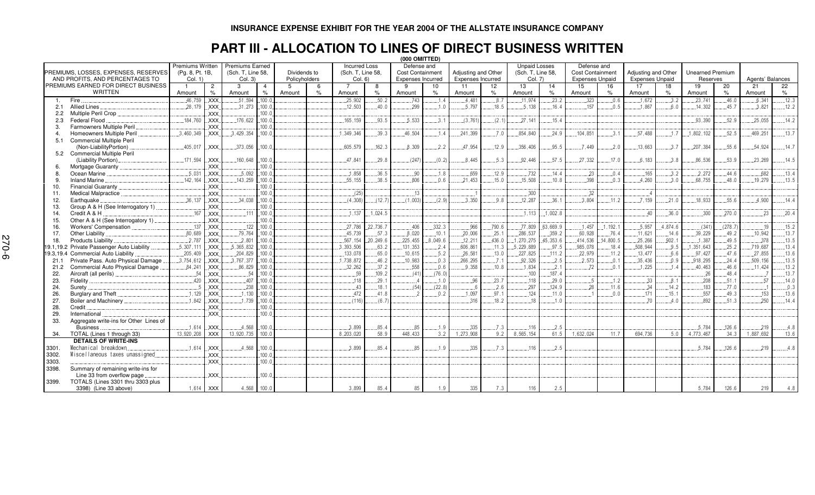#### **INSURANCE EXPENSE EXHIBIT FOR THE YEAR 2004 OF THE ALLSTATE INSURANCE COMPANY**

## **PART III - ALLOCATION TO LINES OF DIRECT BUSINESS WRITTEN**

|                          | (000 OMITTED)<br><b>Unpaid Losses</b><br><b>Incurred Loss</b><br>Defense and<br>Defense and |                         |                |                        |                |               |               |                   |            |                          |          |                          |                 |                   |           |                         |            |                        |                |                         |         |                  |       |
|--------------------------|---------------------------------------------------------------------------------------------|-------------------------|----------------|------------------------|----------------|---------------|---------------|-------------------|------------|--------------------------|----------|--------------------------|-----------------|-------------------|-----------|-------------------------|------------|------------------------|----------------|-------------------------|---------|------------------|-------|
|                          |                                                                                             | <b>Premiums Written</b> |                | <b>Premiums Earned</b> |                |               |               |                   |            |                          |          |                          |                 |                   |           |                         |            |                        |                |                         |         |                  |       |
|                          | PREMIUMS. LOSSES. EXPENSES. RESERVES                                                        | (Pg. 8, Pt. 1B,         |                | (Sch. T, Line 58,      |                | Dividends to  |               | (Sch. T. Line 58. |            | <b>Cost Containment</b>  |          | Adjusting and Other      |                 | (Sch. T. Line 58. |           | <b>Cost Containment</b> |            | Adjusting and Other    |                | <b>Unearned Premium</b> |         |                  |       |
|                          | AND PROFITS, AND PERCENTAGES TO                                                             | Col. 1)                 |                | Col. 3)                |                | Policyholders |               | Col. 6)           |            | <b>Expenses Incurred</b> |          | <b>Expenses Incurred</b> |                 | Col. 7)           |           | <b>Expenses Unpaid</b>  |            | <b>Expenses Unpaid</b> |                | Reserves                |         | Agents' Balances |       |
|                          | PREMIUMS EARNED FOR DIRECT BUSINESS                                                         |                         | $\overline{2}$ | 3                      | $\overline{4}$ | -5            | 6             | 7                 | 8          | 9                        | 10       | -11                      | 12 <sup>°</sup> | 13                | 14        | 15                      | 16         | 17                     | 18             | 19                      | 20      | 21               | 22    |
|                          | <b>WRITTEN</b>                                                                              | Amount                  | $\%$           | Amount                 | $\%$           | Amount        | $\frac{9}{6}$ | Amount            | $\%$       | Amount                   | %        | Amount                   | $\%$            | Amount            | %         | Amount                  | $\%$       | Amount                 | %              | Amount                  | $\%$    | Amount           | $\%$  |
| Fire<br>$\overline{1}$ . |                                                                                             | 46.759                  | <b>XXX</b>     | .51.594                | 100.0          |               |               | 25,902            | .50.2      | 743                      | .1.4     | 4.481                    | 8.7             | .11,974           | .23.2     | .323                    | 0.6        | 1.672                  | 3.2            | .23,741                 | .46.0   | 6,341            | .12.3 |
| 2.1                      | <b>Allied Lines</b>                                                                         | 28,179                  | <b>XXX</b>     | .31,273                | .100.0         |               |               | .12.503           | 40.0       | 299                      | 1.0      | 5.797                    | .18.5           | 5.138             | 16.4      | 157                     | .0.5       | 1.867                  | 6.0            | .14.302                 | 45.7    | 3,821            | .12.2 |
| $2.2^{\circ}$            | Multiple Peril Crop                                                                         |                         | <b>XXX</b>     |                        | 100.0          |               |               |                   |            |                          |          |                          |                 |                   |           |                         |            |                        |                |                         |         |                  |       |
| 2.3                      | Federal Flood                                                                               | .184.760                | <b>XXX</b>     | .176,622               | .100.c         |               |               | .165.159          | 93.5       | .5.533                   | 3.1      | (3, 761)                 | (2.1)           | 27.141            | .15.4     |                         |            |                        |                | .93,390                 | 52.9    | .25,055          | .14.2 |
| 3.                       | Farmowners Multiple Peril                                                                   |                         | <b>XXX</b>     |                        | 100.0          |               |               |                   |            |                          |          |                          |                 |                   |           |                         |            |                        |                |                         |         |                  |       |
| $\overline{4}$           | Homeowners Multiple Peril                                                                   | .3.460.349              | <b>XXX</b>     | .3,429,354             | 100.0          |               |               | .1.349.346        | 39.3       | 46.504                   | 1.4      | .241,399                 | .7.0            | .854.840          | 24.9      | .104.851                | 3.1        | .57.488                | 1 <sub>7</sub> | .1.802.102              | 52.5    | 469.251          | .13.7 |
| 5.1                      | <b>Commercial Multiple Peril</b>                                                            |                         |                |                        |                |               |               |                   |            |                          |          |                          |                 |                   |           |                         |            |                        |                |                         |         |                  |       |
|                          | (Non-LiabilityPortion)                                                                      | .405,017                | <b>XXX</b>     | .373,056               | .100.c         |               |               | .605.579          | .162.3     | .8.309                   | 2.2      | .47,954                  | 12.9            | .356.406          | .95.5     | 7.449                   | .2.0       | .13,663                | 3.7            | .207,384                | .55.6   | .54.924          | 14.7  |
|                          | 5.2 Commercial Multiple Peril                                                               |                         |                |                        |                |               |               |                   |            |                          |          |                          |                 |                   |           |                         |            |                        |                |                         |         |                  |       |
|                          | (Liability Portion).                                                                        | 171.594                 | <b>XXX</b>     | .160,648               | .100.0         |               |               | .47,841           | .29.8      | (247)                    | (0.2)    | .8.445                   | .5.3            | 92.446            | .57.5     | .27,332                 | .17.0      | .6.183                 | .3.8           | .86.536                 | .53.9   | .23,269          | .14.5 |
|                          | Mortgage Guaranty                                                                           |                         | <b>XXX</b>     |                        | 100.0          |               |               |                   |            |                          |          |                          |                 |                   |           |                         |            |                        |                |                         |         |                  |       |
| 8.                       | Ocean Marine                                                                                | .5.031                  | <b>XXX</b>     | .5.092                 | .100.0         |               |               | .1.858            | .36.5      | .90                      | .1.8     | .659                     | .12.9           | .732              | 14.4      | .23                     | .0.4       | .165                   | .3.2           | .2,272                  | 44.6    | 682              | .13.4 |
| 9.                       | <b>Inland Marine</b>                                                                        | .142.164                | <b>XXX</b>     | .143,259               | 100.0          |               |               | .55.155           | .38.5      | 806                      | .0.6     | .21.453                  | .15.0           | .15,508           | .10.8     | 398                     | .0.3       | .4.260                 | 3.0            | .68,755                 | .48.0   | 19.279           | .13.5 |
| 10.                      | <b>Financial Guaranty</b>                                                                   |                         | <b>XXX</b>     |                        | 100.0          |               |               |                   |            |                          |          |                          |                 |                   |           |                         |            |                        |                |                         |         |                  |       |
| 11.                      | <b>Medical Malpractice</b>                                                                  |                         | <b>XXX</b>     |                        | 100.0          |               |               | (25)              |            | .13                      |          |                          |                 | ,300              |           | .32                     |            |                        |                |                         |         |                  |       |
| 12.                      | Earthquake                                                                                  | .36.137                 | <b>XXX</b>     | .34,038                | .100.0         |               |               | (4,308)           | (12.7)     | (1.003)                  | (2.9)    | .3.350                   | 9.8             | .12.287           | 36.1      | 3.804                   | 11.2       | .7.159                 | .21.0          | 18.933                  | 55.6    | 4.900            | .14.4 |
| 13.                      | Group A & H (See Interrogatory 1)                                                           |                         | <b>XXX</b>     |                        | 100.0          |               |               |                   |            |                          |          |                          |                 |                   |           |                         |            |                        |                |                         |         |                  |       |
| 14.                      | Credit A & H                                                                                | 167                     | <b>XXX</b>     | .111                   | 100.1          |               |               | .1.137            | .1.024.5   |                          |          |                          |                 | .1.113            | .1.002.8  |                         |            | 40                     | 36.0           | 300                     | 270.0   | .23              | 20.4  |
| 15.                      | Other A & H (See Interrogatory 1).                                                          |                         | <b>XXX</b>     |                        | 100.0          |               |               |                   |            |                          |          |                          |                 |                   |           |                         |            |                        |                |                         |         |                  |       |
| 16.                      | Workers' Compensation                                                                       | .137                    | <b>XXX</b>     | .122                   | .100.c         |               |               | .27,786           | .22,736.7  | .406                     | .332.3   | .966                     | .790.6          | .77,809           | 63,669.9  | .1.457                  | .1, 192.1  | .5,957                 | 4,874.6        | (341)                   | (278.7) | .19              | .15.2 |
| 17.                      | <b>Other Liability</b>                                                                      | .80,689                 | <b>XXX</b>     | .79,764                | 100.0          |               |               | 45.739            | .57.3      | .8,020                   | .10.1    | .20,006                  | .25.1           | .286,537          | .359.2    | .60,928                 | .76.4      | .11,621                | .14.6          | .39,229                 | .49.2   | 10,942           | .13.7 |
| 18.                      | Products Liability                                                                          | .2.787                  | .XXX.          | .2,801                 | 100.0          |               |               | .567, 154         | .20, 249.6 | .225,455                 | .8.049.6 | .12,211                  | .436.0          | 1,270,275         | 45, 353.6 | .414,536                | .14, 800.5 | .25,266                | .902.1         | .1,387                  | .49.5   | .378             | .13.5 |
|                          | 19.1,19.2 Private Passenger Auto Liability                                                  | .5,307,111              | <b>XXX</b>     | .5.365.832             | 100.0          |               |               | .3,393,506        | .63.2      | .131,353                 | .2.4     | .606.861                 | .11.3           | .5.229.889        | .97.5     | .985,078                | .18.4      | 508.944                | .9.5           | , 351, 643              | .25.2   | .719,687         | .13.4 |
| 19.3,19.4                | Commercial Auto Liability                                                                   | 205,409                 | XXX.           | .204,829               | .100.c         |               |               | .133,078          | .65.0      | .10,615                  | .5.2     | .26,581                  | .13.0           | .227,825          | .111.2    | .22,979                 | .11.2      | .13.477                | .6.6           | .97.427                 | .47.6   | .27,855          | .13.6 |
| 21.1                     | Private Pass. Auto Physical Damage                                                          | .3.754.612              | XXX.           | .3.767.377             | 100.0          |               |               | .1.738.872        | .46.2      | .10.983                  | .0.3     | .266,295                 | .7.1            | .92,326           | .2.5      | .2.573                  | .0.1       | .35,436                | .0.9           | .918,295                | 24.4    | .509,156         | .13.5 |
| 21.2                     | Commercial Auto Physical Damage                                                             | .84,241                 | <b>XXX</b>     | .86,829                | .100.0         |               |               | .32,262           | .37.2      | .558                     | .0.6     | .9.358                   | .10.8           | .1.834            | .2.1      | 72                      | .0.1       | .1.225                 | .1.4           | .40,463                 | .46.6   | .11.424          | .13.2 |
| 22.                      | Aircraft (all perils)                                                                       | 54                      | <b>XXX</b>     | .54                    | 100.0          |               |               | .59               | .109.2     | (41)                     | (76.0)   |                          |                 | .100              | .187.4    |                         |            |                        |                | .26                     | 48.4    |                  | .13.7 |
| 23.                      | Fidelity.                                                                                   | .420                    | <b>XXX</b>     | .407                   | .100.0         |               |               | .118              | .29.1      |                          | .1.0     | .96                      | 23.7            | .118              | 29.0      | $5\overline{5}$         | .1.2       | .33                    | 8.1            | .208                    | .51.1   | .57              | .14.0 |
| 24.                      | Surety                                                                                      |                         | <b>XXX</b>     | .238                   | 100.0          |               |               | .43               | .18.1      | (54)                     | (22.8)   |                          | 2.6             | 297               | .124.9    | 28                      | 11.6       | .34                    | .14.2          | .183                    | .77.0   |                  | .0.3  |
| 26.                      | Burglary and Theft                                                                          | .1.129                  | .XXX.          | .1,130                 | .100.c         |               |               | 472               | .41.8      |                          | 0.2      | .1.097                   | 97.1            | .124              | .11.0     |                         | 0.0        | 171                    | .15.1          | 557                     | .49.3   | .153             | .13.6 |
| 27.                      | Boiler and Machinery                                                                        | 1.842                   | <b>XXX</b>     | 1,739                  | .100.0         |               |               | (116)             | (6.7)      |                          |          | .316                     | .18.2           | .18               | .1.0      |                         |            | .70                    | 4.0            | 892                     | 51.3    | 250              | 14.4  |
| 28.                      | Credit                                                                                      |                         | <b>XXX</b>     |                        | 100.0          |               |               |                   |            |                          |          |                          |                 |                   |           |                         |            |                        |                |                         |         |                  |       |
| 29.                      | International                                                                               |                         | <b>XXX</b>     |                        | 100.0          |               |               |                   |            |                          |          |                          |                 |                   |           |                         |            |                        |                |                         |         |                  |       |
| 33.                      | Aggregate write-ins for Other Lines of                                                      |                         |                |                        |                |               |               |                   |            |                          |          |                          |                 |                   |           |                         |            |                        |                |                         |         |                  |       |
|                          | <b>Business</b>                                                                             | 1.614                   | <b>XXX</b>     | .4.568                 | 100.0          |               |               | 3.899             | .85.4      | 85                       | .1.9     | .335                     | .7.3            | .116              | .2.5      |                         |            |                        |                | .5.784                  | .126.6  | 219              | .4.8  |
| 34.                      | TOTAL (Lines 1 through 33)                                                                  | 13.920.208              | <b>XXX</b>     | 13.920.735             | 100.0          |               |               | 8.203.020         | 58.9       | 448.433                  | 3.2      | 1.273.908                | 9.2             | 8.565.154         | 61.5      | 1,632,024               | 11.7       | 694.736                | 5.0            | 4.773.467               | 34.3    | 1.887.692        | 13.6  |
|                          | <b>DETAILS OF WRITE-INS</b>                                                                 |                         |                |                        |                |               |               |                   |            |                          |          |                          |                 |                   |           |                         |            |                        |                |                         |         |                  |       |
| 3301.                    | Mechanical breakdown.                                                                       | .1.614                  | <b>XXX</b>     | .4.568                 | .100.0         |               |               | 3.899             | 85.4       | 85                       | 1.9      | .335                     | 7.3             | 116               | .2.5      |                         |            |                        |                | 5.784                   | 126.6   | 219              | 4.8   |
| 3302.                    | Miscellaneous taxes unassigned.                                                             |                         | <b>XXX</b>     |                        | 100.0          |               |               |                   |            |                          |          |                          |                 |                   |           |                         |            |                        |                |                         |         |                  |       |
| 3303.                    |                                                                                             |                         | <b>XXX</b>     |                        | 100.0          |               |               |                   |            |                          |          |                          |                 |                   |           |                         |            |                        |                |                         |         |                  |       |
| 3398.                    | Summary of remaining write-ins for                                                          |                         |                |                        |                |               |               |                   |            |                          |          |                          |                 |                   |           |                         |            |                        |                |                         |         |                  |       |
|                          | Line 33 from overflow page                                                                  |                         | <b>XXX</b>     |                        | 100.0          |               |               |                   |            |                          |          |                          |                 |                   |           |                         |            |                        |                |                         |         |                  |       |
| 3399.                    | TOTALS (Lines 3301 thru 3303 plus                                                           |                         |                |                        |                |               |               |                   |            |                          |          |                          |                 |                   |           |                         |            |                        |                |                         |         |                  |       |
|                          | 3398) (Line 33 above)                                                                       |                         | 1.614 XXX      | 4.568                  | 100.0          |               |               | 3.899             | 85.4       | 85                       | 1.9      | 335                      | 7.3             | 116               | 2.5       |                         |            |                        |                | 5,784                   | 126.6   | 219              | 4.8   |
|                          |                                                                                             |                         |                |                        |                |               |               |                   |            |                          |          |                          |                 |                   |           |                         |            |                        |                |                         |         |                  |       |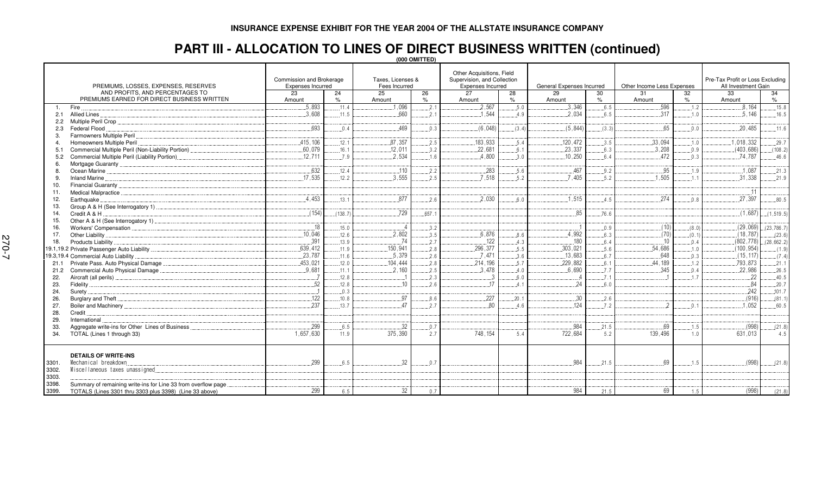## **PART III - ALLOCATION TO LINES OF DIRECT BUSINESS WRITTEN (continued)**

**(000 OMITTED)**

|                                                                        |                          |         |                   |       | Other Acquisitions, Field   |       |                           |       |                            |                |                                  |               |  |
|------------------------------------------------------------------------|--------------------------|---------|-------------------|-------|-----------------------------|-------|---------------------------|-------|----------------------------|----------------|----------------------------------|---------------|--|
|                                                                        | Commission and Brokerage |         | Taxes, Licenses & |       | Supervision, and Collection |       |                           |       |                            |                | Pre-Tax Profit or Loss Excluding |               |  |
| PREMIUMS, LOSSES, EXPENSES, RESERVES                                   | <b>Expenses Incurred</b> |         | Fees Incurred     |       | <b>Expenses Incurred</b>    |       | General Expenses Incurred |       | Other Income Less Expenses |                | All Investment Gain              |               |  |
| AND PROFITS, AND PERCENTAGES TO                                        | 23                       | 24      | 25                | 26    | 27                          | 28    | 29                        | 30    | 31                         | 32             | 33                               | 34            |  |
| PREMIUMS EARNED FOR DIRECT BUSINESS WRITTEN                            | Amount                   | $\%$    | Amount            | $\%$  | Amount                      | $\%$  | Amount                    | $\%$  | Amount                     | $\%$           | Amount                           | $\%$          |  |
| Fire<br>$\mathbf{1}$ .                                                 | .5.893                   | .11.4   | .1.096            | .2.1  | .2,567                      | 5.0   | .3,346                    | 6.5   | 596                        | 1.2            | .8.164                           | 15.8          |  |
| 2.1                                                                    | 3.608                    | .11.5   | .660              | .2.1  | .1.544                      | .4.9  | 2,034                     | 6.5   | 317                        | 1.0            | .5.146                           | .16.5         |  |
| 2.2                                                                    |                          |         |                   |       |                             |       |                           |       |                            |                |                                  |               |  |
| Federal Flood<br>2.3                                                   | 693                      | 0.4     | .469              | 0.3   | (6.048)                     | (3.4) | (5, 844)                  | (3.3) | .65                        | 0.0            | .20.485                          | .11.6         |  |
| Farmowners Multiple Peril<br>3.                                        |                          |         |                   |       |                             |       |                           |       |                            |                |                                  |               |  |
| Homeowners Multiple Peril<br>$\overline{4}$                            | 415.106                  | .12.1   | .87,357           | 2.5   | 183,933                     | .5.4  | .120,472                  | 3.5   | 33.094                     | .1.0           | 1,018,332                        | .29.7         |  |
| Commercial Multiple Peril (Non-Liability Portion)<br>5.1               | 60,079                   | .16.1   | .12,011           | 3.2   | .22,681                     | 6.1   | .23,337                   | 6.3   | .3.208                     | 0.9            | (403, 686)                       | (108.2)       |  |
| Commercial Multiple Peril (Liability Portion)<br>5.2                   | .12,711                  | .7.9    | .2,534            | .1.6  | .4,800                      | 3.0   | .10, 250                  | 6.4   | 472                        | .0.3           | 74,787                           | .46.6         |  |
| 6.                                                                     |                          |         |                   |       |                             |       |                           |       |                            |                |                                  |               |  |
| 8.                                                                     | .632                     | .12.4   | .110              | 2.2   | 283                         | .5.6  | 467                       | .9.2  | .95                        | 1.9            | .1.087                           | .21.3         |  |
| Inland Marine<br>9.                                                    | .17.535                  | .12.2   | 3.555             | 2.5   | .7,518                      | .5.2  | 7.405                     | .5.2  | 1.505                      | 11             | .31.338                          | .21.9         |  |
| 10.                                                                    |                          |         |                   |       |                             |       |                           |       |                            |                |                                  |               |  |
| 11.                                                                    |                          |         |                   |       |                             |       |                           |       |                            |                | .11                              |               |  |
| Earthquake<br>12.                                                      | .4.453                   | .13.1   | 877               | 2.6   | 2.030                       | 6.0   | 1.515                     | .4.5  | 274                        | 0.8            | 27.397                           | .80.5         |  |
| 13.                                                                    |                          |         |                   |       |                             |       |                           |       |                            |                |                                  |               |  |
| Credit A & H<br>14.                                                    | (154)                    | (138.7) | .729              | .657. |                             |       | .85                       | .76.6 |                            |                | (1,687)                          | (1, 519.5)    |  |
| 15.                                                                    |                          |         |                   |       |                             |       |                           |       |                            |                |                                  |               |  |
| 16.                                                                    | .18                      | .15.0   |                   | 3.2   |                             |       |                           | .0.9  | (10)                       | (8.0)          | (29,069)                         | (23, 786.7)   |  |
| Other Liability<br>17.                                                 | .10.046                  | .12.6   | 2.802             | 3.5   | .6,876                      | .8.6  | .4,992                    | .6.3  | (70)                       | (0.1)          | (18.787)                         | (23.6)        |  |
| Products Liability.<br>18.                                             | 391                      | .13.9   | -74               | 2.7   | .122                        | .4.3  | 180                       | .6.4  | $10^{\circ}$               | 0.4            | (802, 778)                       | (28, 662.2)   |  |
|                                                                        | .639,412                 | .11.9   | .150,941          | 2.8   | .296,377                    | 5.5   | .303,021                  | 5.6   | .54,686                    | 1.0            | (100, 954)                       | (1.9)         |  |
| 19.3,19.4 Commercial Auto Liability.                                   | .23,787                  | .11.6   | 5.379             | 2.6   | 7.471                       | 3.6   | .13,683                   | .6.7  | 648                        | 0.3            | (15, 117)                        | (7.4)         |  |
| Private Pass. Auto Physical Damage<br>21.1                             | 453,021                  | .12.0   | .104.444          | 2.8   | .214,196                    | .5.7  | .229,882                  | .6.1  | .44.189                    | .1.2           | .793.873                         | .21.1         |  |
| Commercial Auto Physical Damage<br>21.2                                | .9.681                   | .11.1   | .2.160            | .2.5  | .3,478                      | .4.0  | .6.690                    | .7.7  | 345                        | 0.4            | .22,986                          | .26.5         |  |
| 22.                                                                    |                          | .12.8   |                   | 2.3   | $\cdot$ 3                   | .6.0  |                           | .7.1  |                            | 17             | 22                               | .40.5         |  |
| 23.                                                                    | .52                      | .12.8   | .10               | 2.6   | .17                         | 4.1   | .24                       | .6.0  |                            |                | .84                              | .20.7         |  |
| 24.<br>Surety.                                                         |                          | 0.3     |                   |       |                             |       |                           |       |                            |                | 242                              | .101.7        |  |
| 26.                                                                    | 122                      | .10.8   | 97                | 8.6   | .227                        | .20.1 | .30                       | .2.6  |                            |                | (916)                            | (81.1)        |  |
| 27.                                                                    | 237                      | .13.7   | 47                | 2.7   | .80                         | 4.6   | .124                      | 7.2   | $\mathcal{P}$              | 0 <sub>1</sub> | .1.052                           | .60.5         |  |
| 28.<br>Credit.                                                         |                          |         |                   |       |                             |       |                           |       |                            |                |                                  |               |  |
| International<br>29.                                                   |                          |         |                   |       |                             |       |                           |       |                            |                |                                  |               |  |
| Aggregate write-ins for Other Lines of Business<br>33.                 | 299                      | 6.5     | 32                | 0.7   |                             |       | .984                      | 21.5  | .69                        | 1.5            | .(998)                           | (21.8)        |  |
| TOTAL (Lines 1 through 33)<br>34.                                      | 1.657.630                | 11.9    | 375.390           | 2.7   | 748, 154                    | 5.4   | 722.684                   | 5.2   | 139.496                    | 1.0            | 631,013                          | 4.5           |  |
| <b>DETAILS OF WRITE-INS</b>                                            |                          |         |                   |       |                             |       |                           |       |                            |                |                                  |               |  |
| Mechanical breakdown<br>3301.                                          | 299                      | 6.5     | .32               | 0.7   |                             |       | 984                       | 21.5  | .69                        | .1.5           | (998)                            | $\dots(21.8)$ |  |
| Miscellaneous taxes unassigned<br>3302.<br>3303.                       |                          |         |                   |       |                             |       |                           |       |                            |                |                                  |               |  |
| Summary of remaining write-ins for Line 33 from overflow page<br>3398. |                          |         |                   |       |                             |       |                           |       |                            |                |                                  |               |  |
| 3399.<br>TOTALS (Lines 3301 thru 3303 plus 3398) (Line 33 above)       | 299                      | 6.5     | 32                | 0.7   |                             |       | 984                       | 21.5  | 69                         | 1.5            | (998)                            | (21.8)        |  |